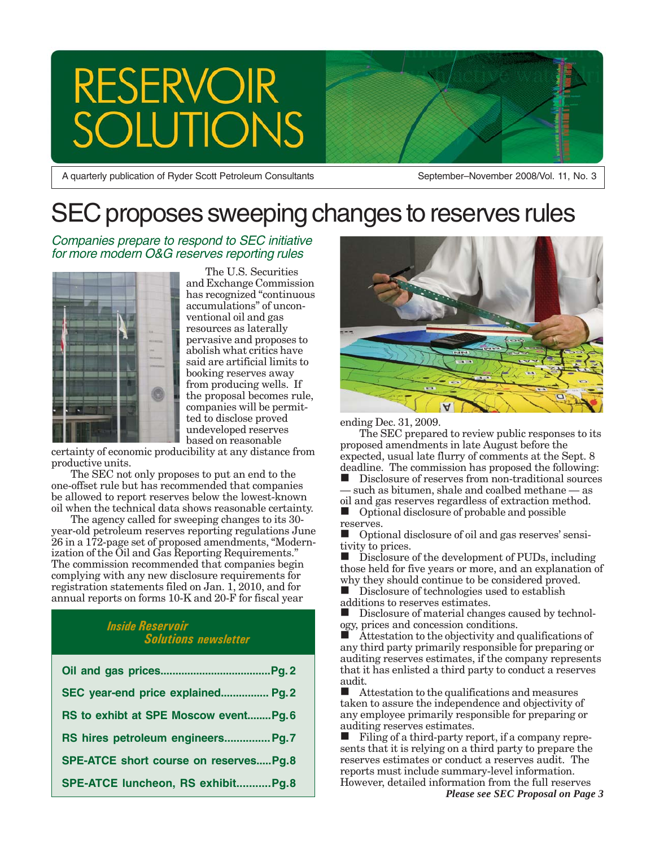# **RESERVOIR TONS**

A quarterly publication of Ryder Scott Petroleum Consultants

September–November 2008/Vol. 11, No. 3

# SEC proposes sweeping changes to reserves rules

#### Companies prepare to respond to SEC initiative for more modern O&G reserves reporting rules



The U.S. Securities and Exchange Commission has recognized "continuous accumulations" of unconventional oil and gas resources as laterally pervasive and proposes to abolish what critics have said are artificial limits to booking reserves away from producing wells. If the proposal becomes rule, companies will be permitted to disclose proved undeveloped reserves based on reasonable

certainty of economic producibility at any distance from productive units.

The SEC not only proposes to put an end to the one-offset rule but has recommended that companies be allowed to report reserves below the lowest-known oil when the technical data shows reasonable certainty.

The agency called for sweeping changes to its 30 year-old petroleum reserves reporting regulations June 26 in a 172-page set of proposed amendments, "Modernization of the Oil and Gas Reporting Requirements." The commission recommended that companies begin complying with any new disclosure requirements for registration statements filed on Jan. 1, 2010, and for annual reports on forms 10-K and 20-F for fiscal year

#### *Inside Reservoir Solutions newsletter*

| SEC year-end price explained Pg.2     |
|---------------------------------------|
| RS to exhibt at SPE Moscow eventPg.6  |
| RS hires petroleum engineers Pg.7     |
| SPE-ATCE short course on reservesPg.8 |
| SPE-ATCE luncheon, RS exhibitPg.8     |



#### ending Dec. 31, 2009.

The SEC prepared to review public responses to its proposed amendments in late August before the expected, usual late flurry of comments at the Sept. 8 deadline. The commission has proposed the following:

 Disclosure of reserves from non-traditional sources such as bitumen, shale and coalbed methane — as

oil and gas reserves regardless of extraction method. Optional disclosure of probable and possible reserves.

 Optional disclosure of oil and gas reserves' sensitivity to prices.

 Disclosure of the development of PUDs, including those held for five years or more, and an explanation of why they should continue to be considered proved.

 Disclosure of technologies used to establish additions to reserves estimates.

 Disclosure of material changes caused by technology, prices and concession conditions.

 Attestation to the objectivity and qualifications of any third party primarily responsible for preparing or auditing reserves estimates, if the company represents that it has enlisted a third party to conduct a reserves audit.

 $\blacksquare$  Attestation to the qualifications and measures taken to assure the independence and objectivity of any employee primarily responsible for preparing or auditing reserves estimates.

 Filing of a third-party report, if a company represents that it is relying on a third party to prepare the reserves estimates or conduct a reserves audit. The reports must include summary-level information. However, detailed information from the full reserves *Please see SEC Proposal on Page 3*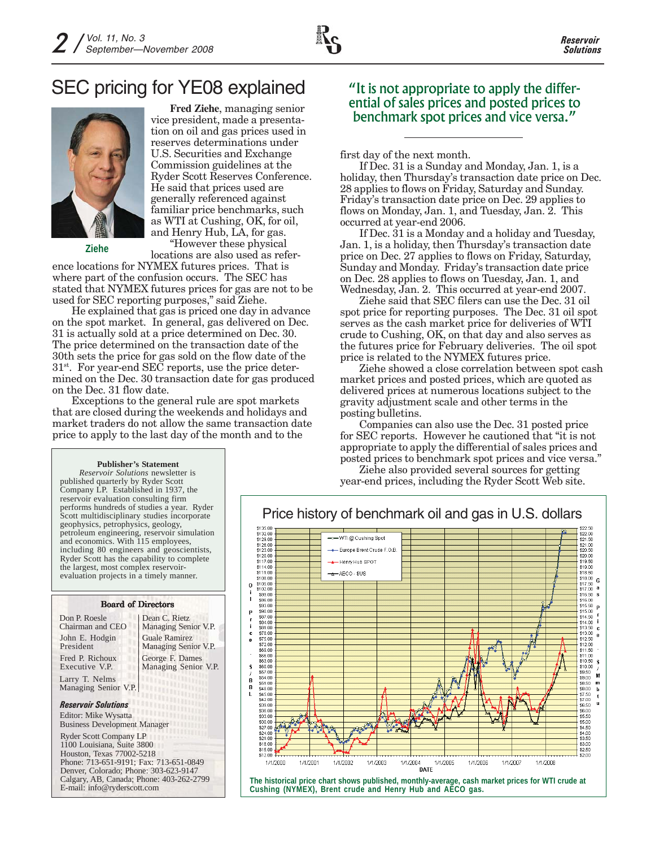## SEC pricing for YE08 explained



**Ziehe**

**Fred Ziehe**, managing senior vice president, made a presentation on oil and gas prices used in reserves determinations under U.S. Securities and Exchange Commission guidelines at the Ryder Scott Reserves Conference. He said that prices used are generally referenced against familiar price benchmarks, such as WTI at Cushing, OK, for oil, and Henry Hub, LA, for gas.

"However these physical locations are also used as refer-

ence locations for NYMEX futures prices. That is where part of the confusion occurs. The SEC has stated that NYMEX futures prices for gas are not to be used for SEC reporting purposes," said Ziehe.

He explained that gas is priced one day in advance on the spot market. In general, gas delivered on Dec. 31 is actually sold at a price determined on Dec. 30. The price determined on the transaction date of the 30th sets the price for gas sold on the flow date of the  $31<sup>st</sup>$ . For year-end SEC reports, use the price determined on the Dec. 30 transaction date for gas produced on the Dec. 31 flow date.

Exceptions to the general rule are spot markets that are closed during the weekends and holidays and market traders do not allow the same transaction date price to apply to the last day of the month and to the

#### "It is not appropriate to apply the differential of sales prices and posted prices to benchmark spot prices and vice versa."

first day of the next month.

If Dec. 31 is a Sunday and Monday, Jan. 1, is a holiday, then Thursday's transaction date price on Dec. 28 applies to flows on Friday, Saturday and Sunday. Friday's transaction date price on Dec. 29 applies to flows on Monday, Jan. 1, and Tuesday, Jan. 2. This occurred at year-end 2006.

If Dec. 31 is a Monday and a holiday and Tuesday, Jan. 1, is a holiday, then Thursday's transaction date price on Dec. 27 applies to flows on Friday, Saturday, Sunday and Monday. Friday's transaction date price on Dec. 28 applies to flows on Tuesday, Jan. 1, and Wednesday, Jan. 2. This occurred at year-end 2007.

Ziehe said that SEC filers can use the Dec. 31 oil spot price for reporting purposes. The Dec. 31 oil spot serves as the cash market price for deliveries of WTI crude to Cushing, OK, on that day and also serves as the futures price for February deliveries. The oil spot price is related to the NYMEX futures price.

Ziehe showed a close correlation between spot cash market prices and posted prices, which are quoted as delivered prices at numerous locations subject to the gravity adjustment scale and other terms in the posting bulletins.

Companies can also use the Dec. 31 posted price for SEC reports. However he cautioned that "it is not appropriate to apply the differential of sales prices and posted prices to benchmark spot prices and vice versa."

Ziehe also provided several sources for getting year-end prices, including the Ryder Scott Web site.



#### **The historical price chart shows published, monthly-average, cash market prices for WTI crude at Cushing (NYMEX), Brent crude and Henry Hub and AECO gas.**

#### **Publisher's Statement**

*Reservoir Solutions* newsletter is published quarterly by Ryder Scott Company LP. Established in 1937, the reservoir evaluation consulting firm performs hundreds of studies a year. Ryder Scott multidisciplinary studies incorporate geophysics, petrophysics, geology, petroleum engineering, reservoir simulation and economics. With 115 employees, including 80 engineers and geoscientists, Ryder Scott has the capability to complete the largest, most complex reservoirevaluation projects in a timely manner.

#### *Reservoir Solutions* Larry T. Nelms Managing Senior V.P. Board of Directors Don P. Roesle Chairman and CEO John E. Hodgin President Fred P. Richoux Executive V.P. Ryder Scott Company LP 1100 Louisiana, Suite 3800 Houston, Texas 77002-5218 Phone: 713-651-9191; Fax: 713-651-0849 Editor: Mike Wysatta Business Development Manager Dean C. Rietz Managing Senior V.P. Guale Ramirez Managing Senior V.P. George F. Dames Managing Senior V.P.

Denver, Colorado; Phone: 303-623-9147 Calgary, AB, Canada; Phone: 403-262-2799 E-mail: info@ryderscott.com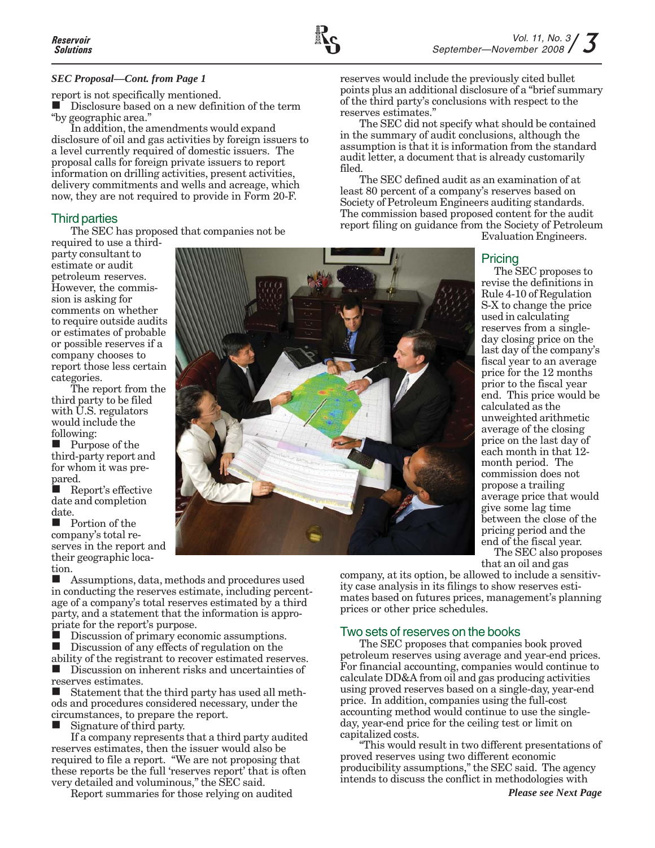#### *SEC Proposal—Cont. from Page 1*

report is not specifically mentioned.

Disclosure based on a new definition of the term "by geographic area."

In addition, the amendments would expand disclosure of oil and gas activities by foreign issuers to a level currently required of domestic issuers. The proposal calls for foreign private issuers to report information on drilling activities, present activities, delivery commitments and wells and acreage, which now, they are not required to provide in Form 20-F.

#### Third parties

The SEC has proposed that companies not be

required to use a thirdparty consultant to estimate or audit petroleum reserves. However, the commission is asking for comments on whether to require outside audits or estimates of probable or possible reserves if a company chooses to report those less certain categories.

The report from the third party to be filed with U.S. regulators would include the following:

 Purpose of the third-party report and for whom it was prepared.

 Report's effective date and completion date.

 Portion of the company's total reserves in the report and their geographic location.

 Assumptions, data, methods and procedures used in conducting the reserves estimate, including percentage of a company's total reserves estimated by a third party, and a statement that the information is appropriate for the report's purpose.

Discussion of primary economic assumptions.

Discussion of any effects of regulation on the

ability of the registrant to recover estimated reserves. Discussion on inherent risks and uncertainties of

reserves estimates. Statement that the third party has used all methods and procedures considered necessary, under the circumstances, to prepare the report.

Signature of third party.

If a company represents that a third party audited reserves estimates, then the issuer would also be required to file a report. "We are not proposing that these reports be the full 'reserves report' that is often very detailed and voluminous," the SEC said.

Report summaries for those relying on audited

reserves would include the previously cited bullet points plus an additional disclosure of a "brief summary of the third party's conclusions with respect to the reserves estimates."

The SEC did not specify what should be contained in the summary of audit conclusions, although the assumption is that it is information from the standard audit letter, a document that is already customarily filed.

The SEC defined audit as an examination of at least 80 percent of a company's reserves based on Society of Petroleum Engineers auditing standards. The commission based proposed content for the audit report filing on guidance from the Society of Petroleum

Evaluation Engineers.

#### Pricing

The SEC proposes to revise the definitions in Rule 4-10 of Regulation S-X to change the price used in calculating reserves from a singleday closing price on the last day of the company's fiscal year to an average price for the 12 months prior to the fiscal year end. This price would be calculated as the unweighted arithmetic average of the closing price on the last day of each month in that 12 month period. The commission does not propose a trailing average price that would give some lag time between the close of the pricing period and the end of the fiscal year.

The SEC also proposes that an oil and gas

company, at its option, be allowed to include a sensitivity case analysis in its filings to show reserves estimates based on futures prices, management's planning prices or other price schedules.

#### Two sets of reserves on the books

The SEC proposes that companies book proved petroleum reserves using average and year-end prices. For financial accounting, companies would continue to calculate DD&A from oil and gas producing activities using proved reserves based on a single-day, year-end price. In addition, companies using the full-cost accounting method would continue to use the singleday, year-end price for the ceiling test or limit on capitalized costs.

"This would result in two different presentations of proved reserves using two different economic producibility assumptions," the SEC said. The agency intends to discuss the conflict in methodologies with

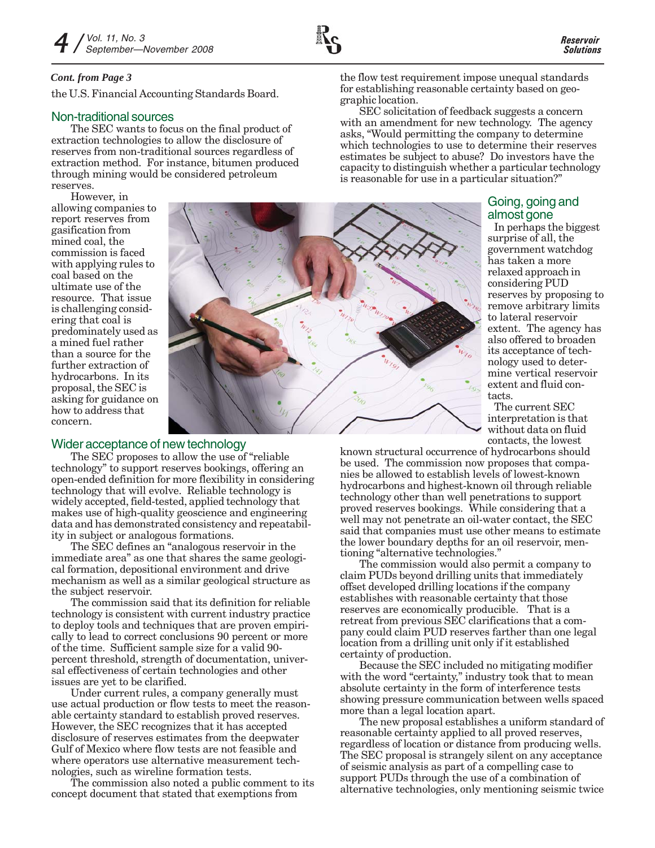#### *Cont. from Page 3*

the U.S. Financial Accounting Standards Board.

#### Non-traditional sources

The SEC wants to focus on the final product of extraction technologies to allow the disclosure of reserves from non-traditional sources regardless of extraction method. For instance, bitumen produced through mining would be considered petroleum reserves.

However, in

allowing companies to report reserves from gasification from mined coal, the commission is faced with applying rules to coal based on the ultimate use of the resource. That issue is challenging considering that coal is predominately used as a mined fuel rather than a source for the further extraction of hydrocarbons. In its proposal, the SEC is asking for guidance on how to address that concern.



#### Wider acceptance of new technology

The SEC proposes to allow the use of "reliable technology" to support reserves bookings, offering an open-ended definition for more flexibility in considering technology that will evolve. Reliable technology is widely accepted, field-tested, applied technology that makes use of high-quality geoscience and engineering data and has demonstrated consistency and repeatability in subject or analogous formations.

The SEC defines an "analogous reservoir in the immediate area" as one that shares the same geological formation, depositional environment and drive mechanism as well as a similar geological structure as the subject reservoir.

The commission said that its definition for reliable technology is consistent with current industry practice to deploy tools and techniques that are proven empirically to lead to correct conclusions 90 percent or more of the time. Sufficient sample size for a valid 90 percent threshold, strength of documentation, universal effectiveness of certain technologies and other issues are yet to be clarified.

Under current rules, a company generally must use actual production or flow tests to meet the reasonable certainty standard to establish proved reserves. However, the SEC recognizes that it has accepted disclosure of reserves estimates from the deepwater Gulf of Mexico where flow tests are not feasible and where operators use alternative measurement technologies, such as wireline formation tests.

The commission also noted a public comment to its concept document that stated that exemptions from

the flow test requirement impose unequal standards for establishing reasonable certainty based on geographic location.

SEC solicitation of feedback suggests a concern with an amendment for new technology. The agency asks, "Would permitting the company to determine which technologies to use to determine their reserves estimates be subject to abuse? Do investors have the capacity to distinguish whether a particular technology is reasonable for use in a particular situation?"

> Going, going and almost gone

In perhaps the biggest surprise of all, the government watchdog has taken a more relaxed approach in considering PUD reserves by proposing to remove arbitrary limits to lateral reservoir extent. The agency has also offered to broaden its acceptance of technology used to determine vertical reservoir extent and fluid contacts.

The current SEC interpretation is that without data on fluid contacts, the lowest

known structural occurrence of hydrocarbons should be used. The commission now proposes that companies be allowed to establish levels of lowest-known hydrocarbons and highest-known oil through reliable technology other than well penetrations to support proved reserves bookings. While considering that a well may not penetrate an oil-water contact, the SEC said that companies must use other means to estimate the lower boundary depths for an oil reservoir, mentioning "alternative technologies."

The commission would also permit a company to claim PUDs beyond drilling units that immediately offset developed drilling locations if the company establishes with reasonable certainty that those reserves are economically producible. That is a retreat from previous SEC clarifications that a company could claim PUD reserves farther than one legal location from a drilling unit only if it established certainty of production.

Because the SEC included no mitigating modifier with the word "certainty," industry took that to mean absolute certainty in the form of interference tests showing pressure communication between wells spaced more than a legal location apart.

The new proposal establishes a uniform standard of reasonable certainty applied to all proved reserves, regardless of location or distance from producing wells. The SEC proposal is strangely silent on any acceptance of seismic analysis as part of a compelling case to support PUDs through the use of a combination of alternative technologies, only mentioning seismic twice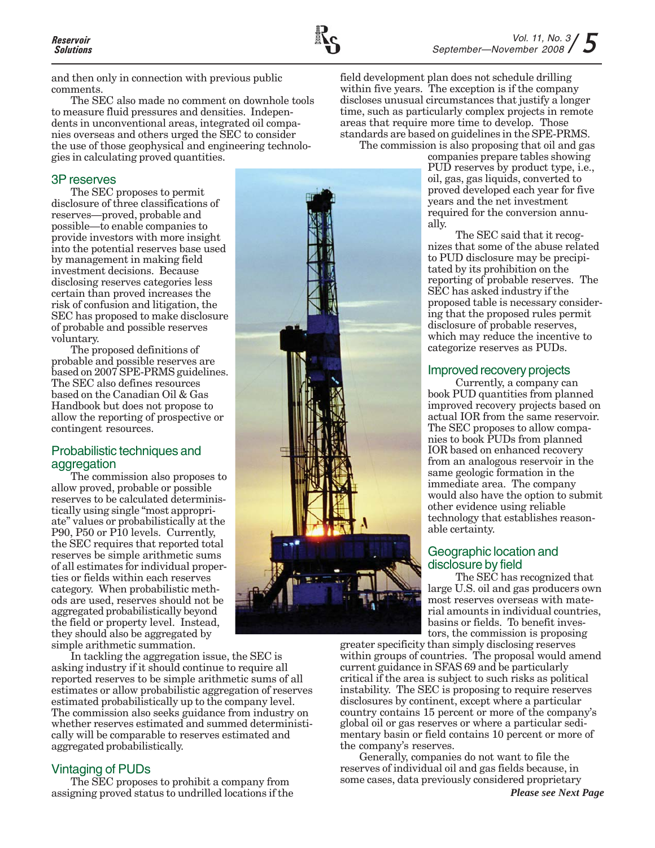

and then only in connection with previous public comments.

The SEC also made no comment on downhole tools to measure fluid pressures and densities. Independents in unconventional areas, integrated oil companies overseas and others urged the SEC to consider the use of those geophysical and engineering technologies in calculating proved quantities.

#### 3P reserves

The SEC proposes to permit disclosure of three classifications of reserves—proved, probable and possible—to enable companies to provide investors with more insight into the potential reserves base used by management in making field investment decisions. Because disclosing reserves categories less certain than proved increases the risk of confusion and litigation, the SEC has proposed to make disclosure of probable and possible reserves voluntary.

The proposed definitions of probable and possible reserves are based on 2007 SPE-PRMS guidelines. The SEC also defines resources based on the Canadian Oil & Gas Handbook but does not propose to allow the reporting of prospective or contingent resources.

#### Probabilistic techniques and aggregation

The commission also proposes to allow proved, probable or possible reserves to be calculated deterministically using single "most appropriate" values or probabilistically at the P90, P50 or P10 levels. Currently, the SEC requires that reported total reserves be simple arithmetic sums of all estimates for individual properties or fields within each reserves category. When probabilistic methods are used, reserves should not be aggregated probabilistically beyond the field or property level. Instead, they should also be aggregated by simple arithmetic summation.

In tackling the aggregation issue, the SEC is asking industry if it should continue to require all reported reserves to be simple arithmetic sums of all estimates or allow probabilistic aggregation of reserves estimated probabilistically up to the company level. The commission also seeks guidance from industry on whether reserves estimated and summed deterministically will be comparable to reserves estimated and aggregated probabilistically.

#### Vintaging of PUDs

The SEC proposes to prohibit a company from assigning proved status to undrilled locations if the



field development plan does not schedule drilling within five years. The exception is if the company discloses unusual circumstances that justify a longer time, such as particularly complex projects in remote areas that require more time to develop. Those standards are based on guidelines in the SPE-PRMS.

The commission is also proposing that oil and gas

companies prepare tables showing PUD reserves by product type, i.e., oil, gas, gas liquids, converted to proved developed each year for five years and the net investment required for the conversion annually.

The SEC said that it recognizes that some of the abuse related to PUD disclosure may be precipitated by its prohibition on the reporting of probable reserves. The SEC has asked industry if the proposed table is necessary considering that the proposed rules permit disclosure of probable reserves, which may reduce the incentive to categorize reserves as PUDs.

#### Improved recovery projects

Currently, a company can book PUD quantities from planned improved recovery projects based on actual IOR from the same reservoir. The SEC proposes to allow companies to book PUDs from planned IOR based on enhanced recovery from an analogous reservoir in the same geologic formation in the immediate area. The company would also have the option to submit other evidence using reliable technology that establishes reasonable certainty.

#### Geographic location and disclosure by field

The SEC has recognized that large U.S. oil and gas producers own most reserves overseas with material amounts in individual countries, basins or fields. To benefit investors, the commission is proposing

greater specificity than simply disclosing reserves within groups of countries. The proposal would amend current guidance in SFAS 69 and be particularly critical if the area is subject to such risks as political instability. The SEC is proposing to require reserves disclosures by continent, except where a particular country contains 15 percent or more of the company's global oil or gas reserves or where a particular sedimentary basin or field contains 10 percent or more of the company's reserves.

Generally, companies do not want to file the reserves of individual oil and gas fields because, in some cases, data previously considered proprietary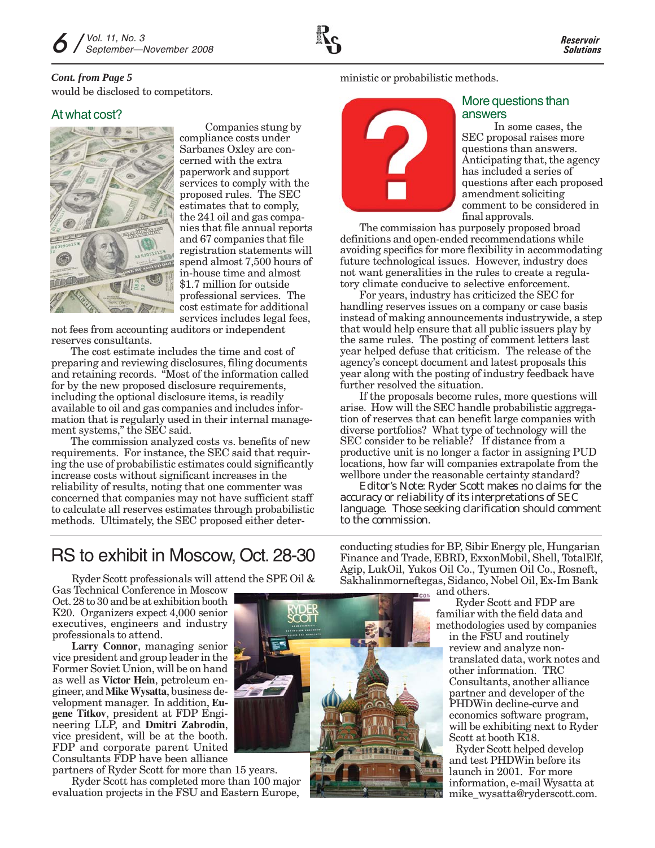#### would be disclosed to competitors. *Cont. from Page 5*

### At what cost?



Companies stung by compliance costs under Sarbanes Oxley are concerned with the extra paperwork and support services to comply with the proposed rules. The SEC estimates that to comply, the 241 oil and gas companies that file annual reports and 67 companies that file registration statements will spend almost 7,500 hours of in-house time and almost \$1.7 million for outside professional services. The cost estimate for additional services includes legal fees,

not fees from accounting auditors or independent reserves consultants.

The cost estimate includes the time and cost of preparing and reviewing disclosures, filing documents and retaining records. "Most of the information called for by the new proposed disclosure requirements, including the optional disclosure items, is readily available to oil and gas companies and includes information that is regularly used in their internal management systems," the SEC said.

The commission analyzed costs vs. benefits of new requirements. For instance, the SEC said that requiring the use of probabilistic estimates could significantly increase costs without significant increases in the reliability of results, noting that one commenter was concerned that companies may not have sufficient staff to calculate all reserves estimates through probabilistic methods. Ultimately, the SEC proposed either deterministic or probabilistic methods.



#### More questions than answers

In some cases, the SEC proposal raises more questions than answers. Anticipating that, the agency has included a series of questions after each proposed amendment soliciting comment to be considered in final approvals.

The commission has purposely proposed broad definitions and open-ended recommendations while avoiding specifics for more flexibility in accommodating future technological issues. However, industry does not want generalities in the rules to create a regulatory climate conducive to selective enforcement.

For years, industry has criticized the SEC for handling reserves issues on a company or case basis instead of making announcements industrywide, a step that would help ensure that all public issuers play by the same rules. The posting of comment letters last year helped defuse that criticism. The release of the agency's concept document and latest proposals this year along with the posting of industry feedback have further resolved the situation.

If the proposals become rules, more questions will arise. How will the SEC handle probabilistic aggregation of reserves that can benefit large companies with diverse portfolios? What type of technology will the SEC consider to be reliable? If distance from a productive unit is no longer a factor in assigning PUD locations, how far will companies extrapolate from the wellbore under the reasonable certainty standard?

*Editor's Note: Ryder Scott makes no claims for the accuracy or reliability of its interpretations of SEC language. Those seeking clarification should comment to the commission.*

## RS to exhibit in Moscow, Oct. 28-30

Ryder Scott professionals will attend the SPE Oil &

Gas Technical Conference in Moscow Oct. 28 to 30 and be at exhibition booth K20. Organizers expect 4,000 senior executives, engineers and industry professionals to attend.

**Larry Connor**, managing senior vice president and group leader in the Former Soviet Union, will be on hand as well as **Victor Hein**, petroleum engineer, and **Mike Wysatta**, business development manager. In addition, **Eugene Titkov**, president at FDP Engineering LLP, and **Dmitri Zabrodin**, vice president, will be at the booth. FDP and corporate parent United Consultants FDP have been alliance

partners of Ryder Scott for more than 15 years.

Ryder Scott has completed more than 100 major evaluation projects in the FSU and Eastern Europe,

conducting studies for BP, Sibir Energy plc, Hungarian Finance and Trade, EBRD, ExxonMobil, Shell, TotalElf, Agip, LukOil, Yukos Oil Co., Tyumen Oil Co., Rosneft, Sakhalinmorneftegas, Sidanco, Nobel Oil, Ex-Im Bank and others.

Ryder Scott and FDP are familiar with the field data and methodologies used by companies

in the FSU and routinely review and analyze nontranslated data, work notes and other information. TRC Consultants, another alliance partner and developer of the PHDWin decline-curve and economics software program, will be exhibiting next to Ryder Scott at booth K18.

Ryder Scott helped develop and test PHDWin before its launch in 2001. For more information, e-mail Wysatta at mike\_wysatta@ryderscott.com.

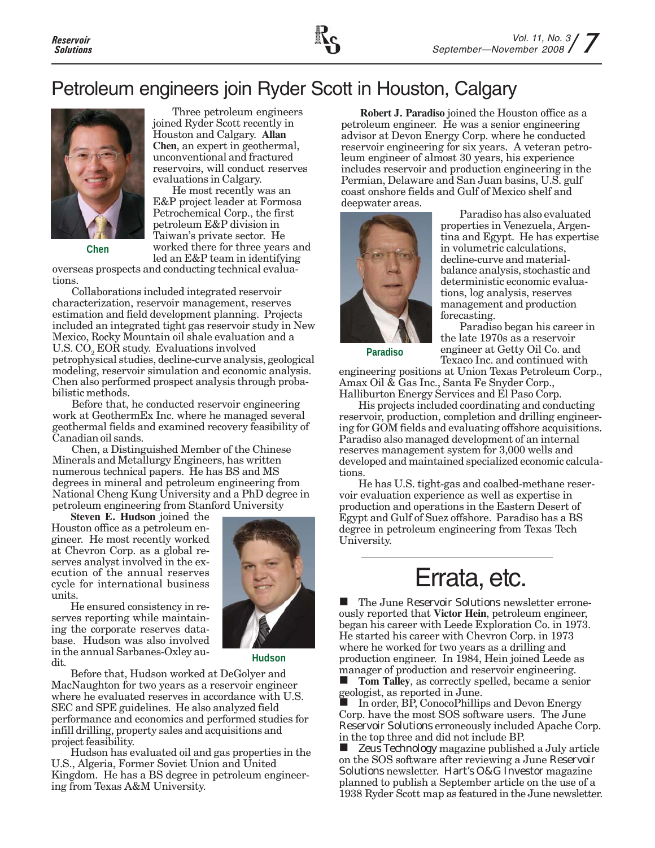## Petroleum engineers join Ryder Scott in Houston, Calgary



**Chen**

Three petroleum engineers joined Ryder Scott recently in Houston and Calgary. **Allan Chen**, an expert in geothermal, unconventional and fractured reservoirs, will conduct reserves evaluations in Calgary.

He most recently was an E&P project leader at Formosa Petrochemical Corp., the first petroleum E&P division in Taiwan's private sector. He worked there for three years and led an E&P team in identifying

overseas prospects and conducting technical evaluations.

Collaborations included integrated reservoir characterization, reservoir management, reserves estimation and field development planning. Projects included an integrated tight gas reservoir study in New Mexico, Rocky Mountain oil shale evaluation and a U.S. CO<sub>2</sub> EOR study. Evaluations involved petrophysical studies, decline-curve analysis, geological modeling, reservoir simulation and economic analysis. Chen also performed prospect analysis through probabilistic methods.

Before that, he conducted reservoir engineering work at GeothermEx Inc. where he managed several geothermal fields and examined recovery feasibility of Canadian oil sands.

Chen, a Distinguished Member of the Chinese Minerals and Metallurgy Engineers, has written numerous technical papers. He has BS and MS degrees in mineral and petroleum engineering from National Cheng Kung University and a PhD degree in petroleum engineering from Stanford University

**Steven E. Hudson** joined the Houston office as a petroleum engineer. He most recently worked at Chevron Corp. as a global reserves analyst involved in the execution of the annual reserves cycle for international business units.

He ensured consistency in reserves reporting while maintaining the corporate reserves database. Hudson was also involved in the annual Sarbanes-Oxley audit.



**Hudson**

Before that, Hudson worked at DeGolyer and MacNaughton for two years as a reservoir engineer where he evaluated reserves in accordance with U.S. SEC and SPE guidelines. He also analyzed field performance and economics and performed studies for infill drilling, property sales and acquisitions and project feasibility.

Hudson has evaluated oil and gas properties in the U.S., Algeria, Former Soviet Union and United Kingdom. He has a BS degree in petroleum engineering from Texas A&M University.

**Robert J. Paradiso** joined the Houston office as a petroleum engineer. He was a senior engineering advisor at Devon Energy Corp. where he conducted reservoir engineering for six years. A veteran petroleum engineer of almost 30 years, his experience includes reservoir and production engineering in the Permian, Delaware and San Juan basins, U.S. gulf coast onshore fields and Gulf of Mexico shelf and deepwater areas.



Paradiso has also evaluated properties in Venezuela, Argentina and Egypt. He has expertise in volumetric calculations, decline-curve and materialbalance analysis, stochastic and deterministic economic evaluations, log analysis, reserves management and production forecasting.

Paradiso began his career in the late 1970s as a reservoir engineer at Getty Oil Co. and Texaco Inc. and continued with

**Paradiso**

engineering positions at Union Texas Petroleum Corp., Amax Oil & Gas Inc., Santa Fe Snyder Corp., Halliburton Energy Services and El Paso Corp.

His projects included coordinating and conducting reservoir, production, completion and drilling engineering for GOM fields and evaluating offshore acquisitions. Paradiso also managed development of an internal reserves management system for 3,000 wells and developed and maintained specialized economic calculations.

He has U.S. tight-gas and coalbed-methane reservoir evaluation experience as well as expertise in production and operations in the Eastern Desert of Egypt and Gulf of Suez offshore. Paradiso has a BS degree in petroleum engineering from Texas Tech University.

# Errata, etc.

 The June *Reservoir Solutions* newsletter erroneously reported that **Victor Hein**, petroleum engineer, began his career with Leede Exploration Co. in 1973. He started his career with Chevron Corp. in 1973 where he worked for two years as a drilling and production engineer. In 1984, Hein joined Leede as manager of production and reservoir engineering.

 **Tom Talley**, as correctly spelled, became a senior geologist, as reported in June.

 In order, BP, ConocoPhillips and Devon Energy Corp. have the most SOS software users. The June *Reservoir Solutions* erroneously included Apache Corp. in the top three and did not include BP.

 *Zeus Technology* magazine published a July article on the SOS software after reviewing a June *Reservoir Solutions* newsletter. *Hart's O&G Investor* magazine planned to publish a September article on the use of a 1938 Ryder Scott map as featured in the June newsletter.